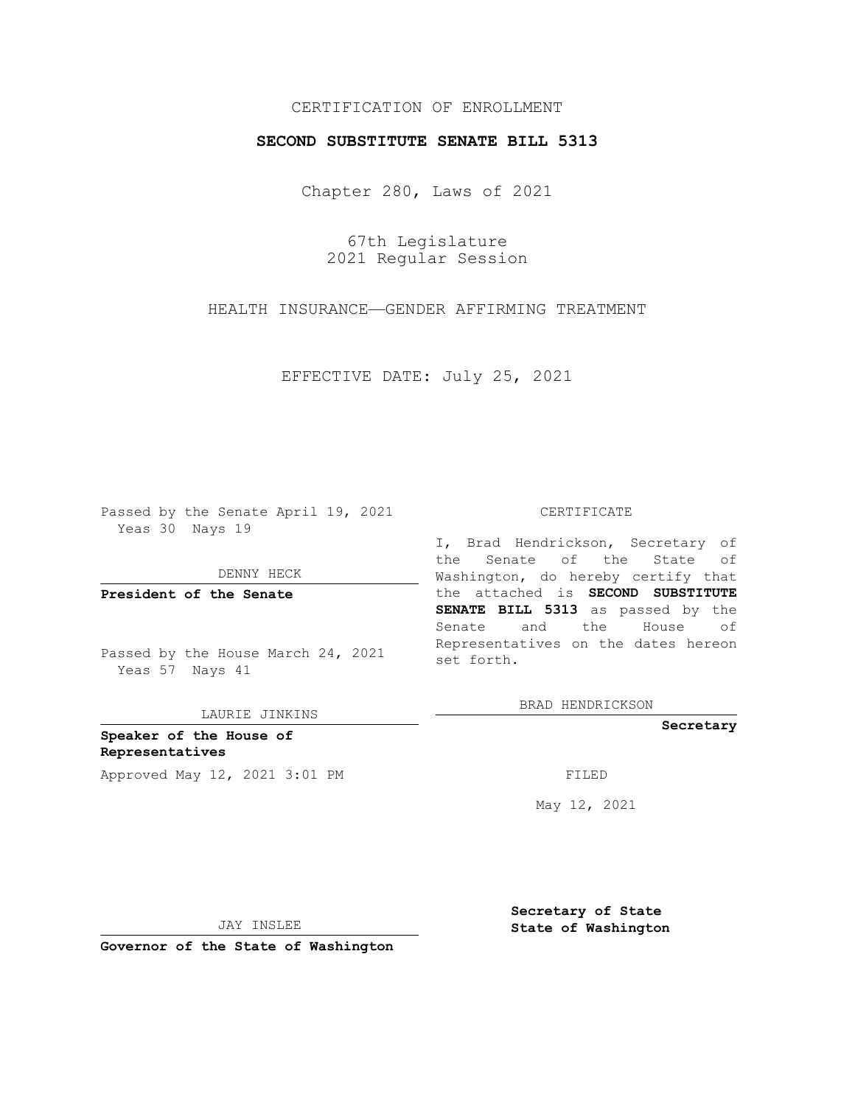## CERTIFICATION OF ENROLLMENT

### **SECOND SUBSTITUTE SENATE BILL 5313**

Chapter 280, Laws of 2021

67th Legislature 2021 Regular Session

HEALTH INSURANCE—GENDER AFFIRMING TREATMENT

EFFECTIVE DATE: July 25, 2021

Passed by the Senate April 19, 2021 Yeas 30 Nays 19

DENNY HECK

**President of the Senate**

Passed by the House March 24, 2021 Yeas 57 Nays 41

LAURIE JINKINS

**Speaker of the House of Representatives** Approved May 12, 2021 3:01 PM FILED

#### CERTIFICATE

I, Brad Hendrickson, Secretary of the Senate of the State of Washington, do hereby certify that the attached is **SECOND SUBSTITUTE SENATE BILL 5313** as passed by the Senate and the House of Representatives on the dates hereon set forth.

BRAD HENDRICKSON

**Secretary**

May 12, 2021

JAY INSLEE

**Secretary of State State of Washington**

**Governor of the State of Washington**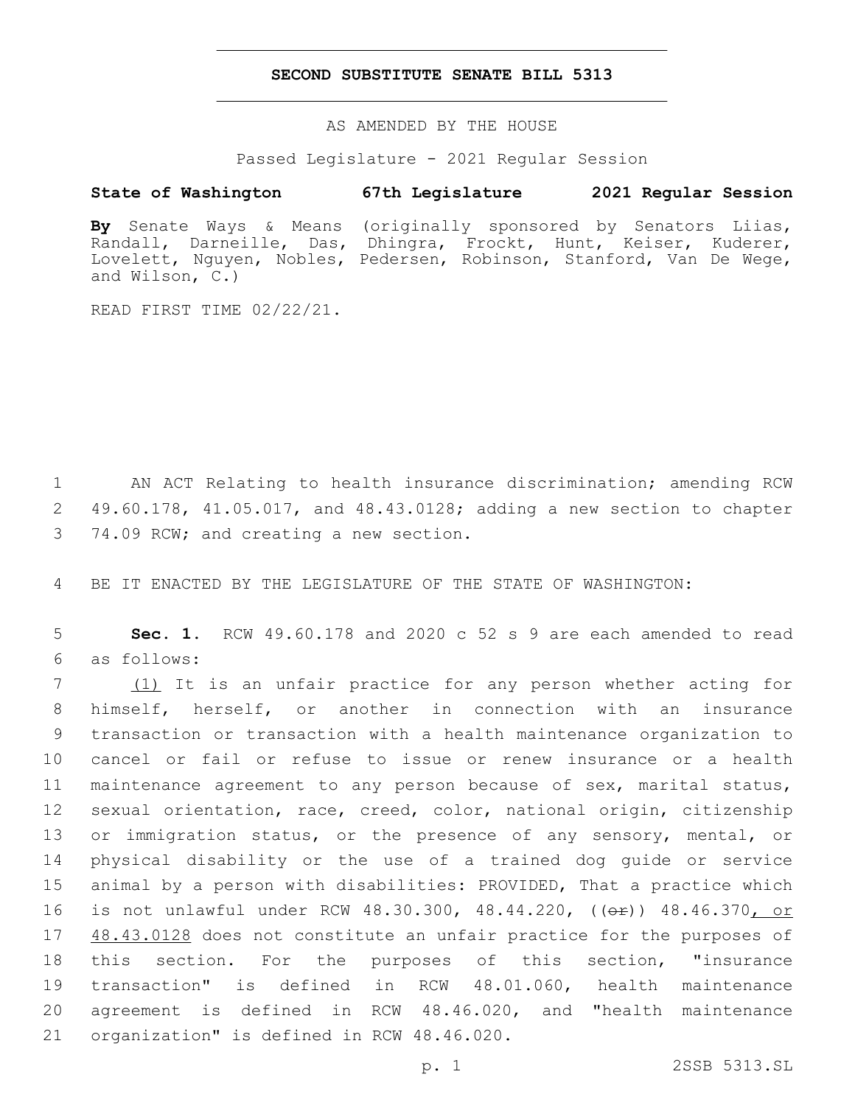### **SECOND SUBSTITUTE SENATE BILL 5313**

AS AMENDED BY THE HOUSE

Passed Legislature - 2021 Regular Session

# **State of Washington 67th Legislature 2021 Regular Session**

**By** Senate Ways & Means (originally sponsored by Senators Liias, Randall, Darneille, Das, Dhingra, Frockt, Hunt, Keiser, Kuderer, Lovelett, Nguyen, Nobles, Pedersen, Robinson, Stanford, Van De Wege, and Wilson, C.)

READ FIRST TIME 02/22/21.

1 AN ACT Relating to health insurance discrimination; amending RCW 2 49.60.178, 41.05.017, and 48.43.0128; adding a new section to chapter 3 74.09 RCW; and creating a new section.

4 BE IT ENACTED BY THE LEGISLATURE OF THE STATE OF WASHINGTON:

5 **Sec. 1.** RCW 49.60.178 and 2020 c 52 s 9 are each amended to read as follows:6

7 (1) It is an unfair practice for any person whether acting for himself, herself, or another in connection with an insurance transaction or transaction with a health maintenance organization to cancel or fail or refuse to issue or renew insurance or a health maintenance agreement to any person because of sex, marital status, sexual orientation, race, creed, color, national origin, citizenship 13 or immigration status, or the presence of any sensory, mental, or physical disability or the use of a trained dog guide or service animal by a person with disabilities: PROVIDED, That a practice which 16 is not unlawful under RCW 48.30.300, 48.44.220, (( $\leftrightarrow$ F)) 48.46.370<u>, or</u> 17 48.43.0128 does not constitute an unfair practice for the purposes of this section. For the purposes of this section, "insurance transaction" is defined in RCW 48.01.060, health maintenance agreement is defined in RCW 48.46.020, and "health maintenance 21 organization" is defined in RCW 48.46.020.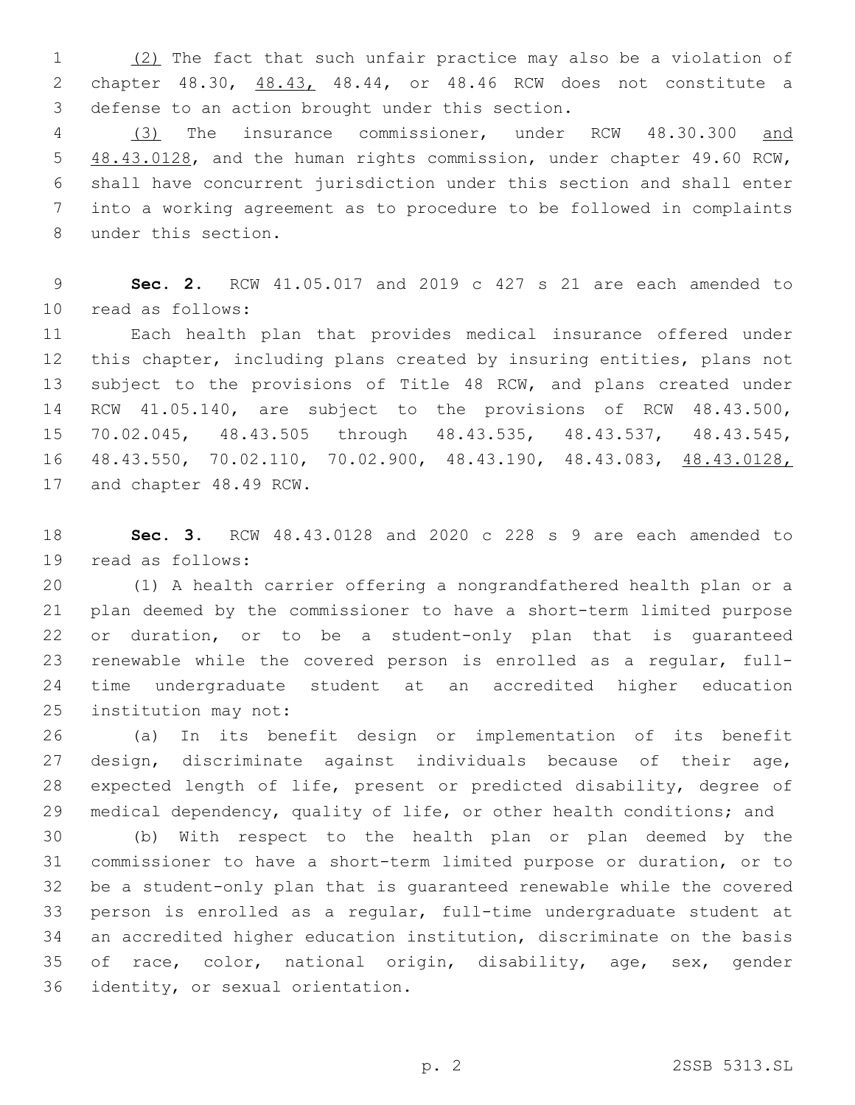1 (2) The fact that such unfair practice may also be a violation of chapter 48.30, 48.43, 48.44, or 48.46 RCW does not constitute a 3 defense to an action brought under this section.

 (3) The insurance commissioner, under RCW 48.30.300 and 5 48.43.0128, and the human rights commission, under chapter 49.60 RCW, shall have concurrent jurisdiction under this section and shall enter into a working agreement as to procedure to be followed in complaints 8 under this section.

 **Sec. 2.** RCW 41.05.017 and 2019 c 427 s 21 are each amended to read as follows:10

 Each health plan that provides medical insurance offered under this chapter, including plans created by insuring entities, plans not subject to the provisions of Title 48 RCW, and plans created under RCW 41.05.140, are subject to the provisions of RCW 48.43.500, 70.02.045, 48.43.505 through 48.43.535, 48.43.537, 48.43.545, 48.43.550, 70.02.110, 70.02.900, 48.43.190, 48.43.083, 48.43.0128, 17 and chapter 48.49 RCW.

 **Sec. 3.** RCW 48.43.0128 and 2020 c 228 s 9 are each amended to 19 read as follows:

 (1) A health carrier offering a nongrandfathered health plan or a plan deemed by the commissioner to have a short-term limited purpose or duration, or to be a student-only plan that is guaranteed renewable while the covered person is enrolled as a regular, full- time undergraduate student at an accredited higher education 25 institution may not:

 (a) In its benefit design or implementation of its benefit design, discriminate against individuals because of their age, expected length of life, present or predicted disability, degree of medical dependency, quality of life, or other health conditions; and

 (b) With respect to the health plan or plan deemed by the commissioner to have a short-term limited purpose or duration, or to be a student-only plan that is guaranteed renewable while the covered person is enrolled as a regular, full-time undergraduate student at an accredited higher education institution, discriminate on the basis of race, color, national origin, disability, age, sex, gender 36 identity, or sexual orientation.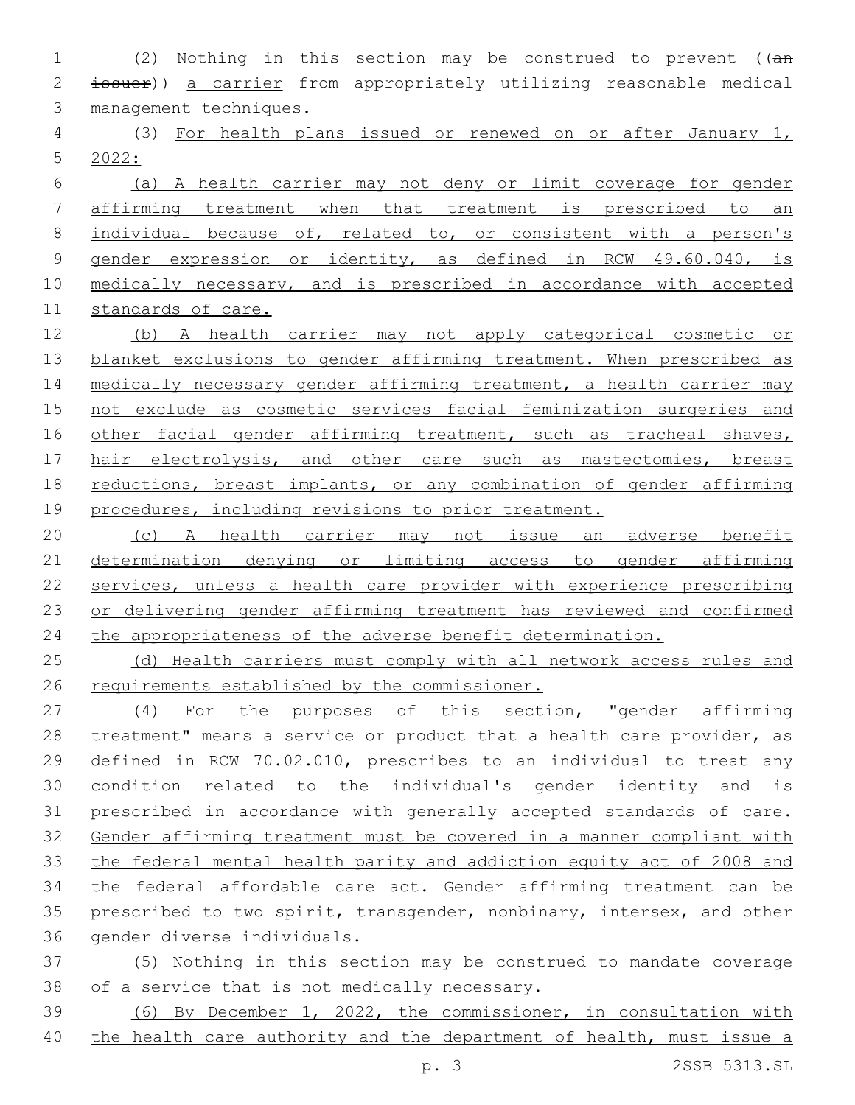(2) Nothing in this section may be construed to prevent ((an issuer)) a carrier from appropriately utilizing reasonable medical 3 management techniques.

 (3) For health plans issued or renewed on or after January 1, 2022:

 (a) A health carrier may not deny or limit coverage for gender affirming treatment when that treatment is prescribed to an individual because of, related to, or consistent with a person's gender expression or identity, as defined in RCW 49.60.040, is medically necessary, and is prescribed in accordance with accepted standards of care.

 (b) A health carrier may not apply categorical cosmetic or 13 blanket exclusions to gender affirming treatment. When prescribed as 14 medically necessary gender affirming treatment, a health carrier may not exclude as cosmetic services facial feminization surgeries and 16 other facial gender affirming treatment, such as tracheal shaves, 17 hair electrolysis, and other care such as mastectomies, breast reductions, breast implants, or any combination of gender affirming 19 procedures, including revisions to prior treatment.

 (c) A health carrier may not issue an adverse benefit determination denying or limiting access to gender affirming services, unless a health care provider with experience prescribing or delivering gender affirming treatment has reviewed and confirmed 24 the appropriateness of the adverse benefit determination.

25 (d) Health carriers must comply with all network access rules and requirements established by the commissioner.

27 (4) For the purposes of this section, "gender affirming 28 treatment" means a service or product that a health care provider, as defined in RCW 70.02.010, prescribes to an individual to treat any condition related to the individual's gender identity and is prescribed in accordance with generally accepted standards of care. Gender affirming treatment must be covered in a manner compliant with the federal mental health parity and addiction equity act of 2008 and the federal affordable care act. Gender affirming treatment can be 35 prescribed to two spirit, transgender, nonbinary, intersex, and other gender diverse individuals.

 (5) Nothing in this section may be construed to mandate coverage of a service that is not medically necessary.

 (6) By December 1, 2022, the commissioner, in consultation with the health care authority and the department of health, must issue a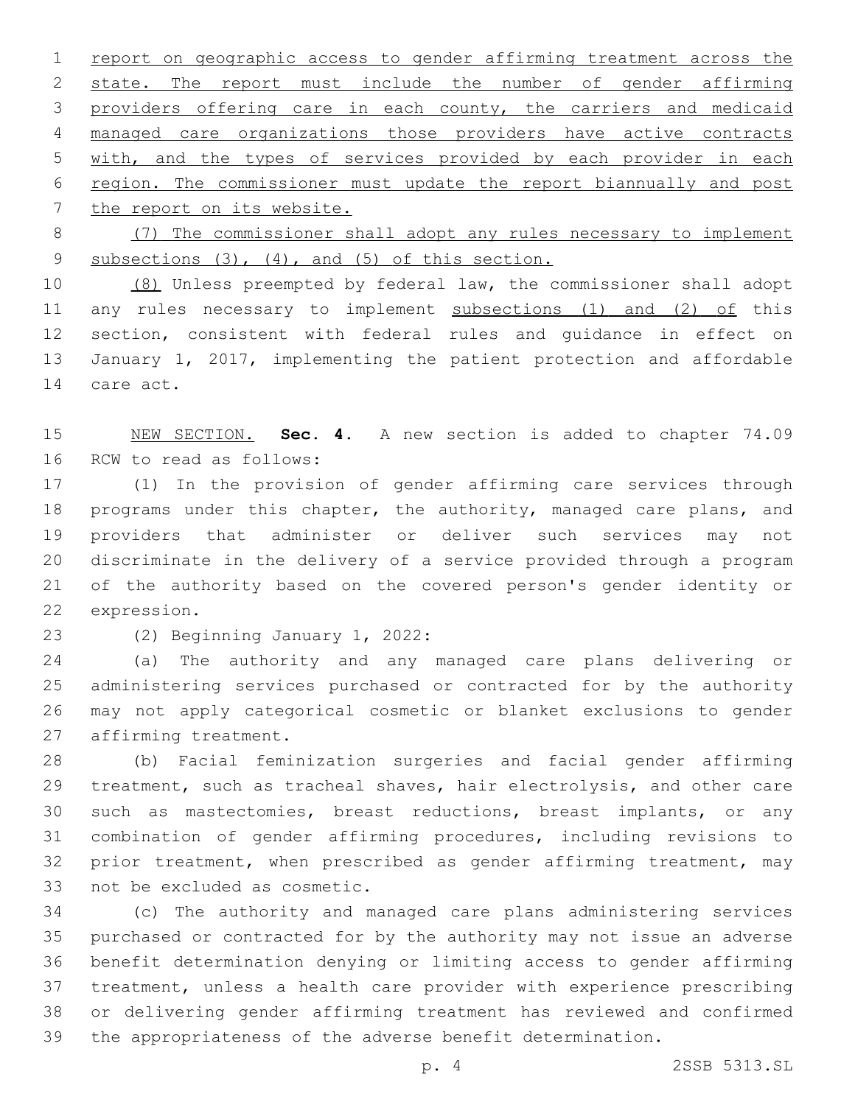report on geographic access to gender affirming treatment across the 2 state. The report must include the number of gender affirming providers offering care in each county, the carriers and medicaid managed care organizations those providers have active contracts with, and the types of services provided by each provider in each region. The commissioner must update the report biannually and post 7 the report on its website.

 (7) The commissioner shall adopt any rules necessary to implement 9 subsections (3), (4), and (5) of this section.

 (8) Unless preempted by federal law, the commissioner shall adopt 11 any rules necessary to implement subsections (1) and (2) of this section, consistent with federal rules and guidance in effect on January 1, 2017, implementing the patient protection and affordable 14 care act.

 NEW SECTION. **Sec. 4.** A new section is added to chapter 74.09 16 RCW to read as follows:

 (1) In the provision of gender affirming care services through 18 programs under this chapter, the authority, managed care plans, and providers that administer or deliver such services may not discriminate in the delivery of a service provided through a program of the authority based on the covered person's gender identity or 22 expression.

23 (2) Beginning January 1, 2022:

 (a) The authority and any managed care plans delivering or administering services purchased or contracted for by the authority may not apply categorical cosmetic or blanket exclusions to gender 27 affirming treatment.

 (b) Facial feminization surgeries and facial gender affirming treatment, such as tracheal shaves, hair electrolysis, and other care such as mastectomies, breast reductions, breast implants, or any combination of gender affirming procedures, including revisions to prior treatment, when prescribed as gender affirming treatment, may 33 not be excluded as cosmetic.

 (c) The authority and managed care plans administering services purchased or contracted for by the authority may not issue an adverse benefit determination denying or limiting access to gender affirming treatment, unless a health care provider with experience prescribing or delivering gender affirming treatment has reviewed and confirmed the appropriateness of the adverse benefit determination.